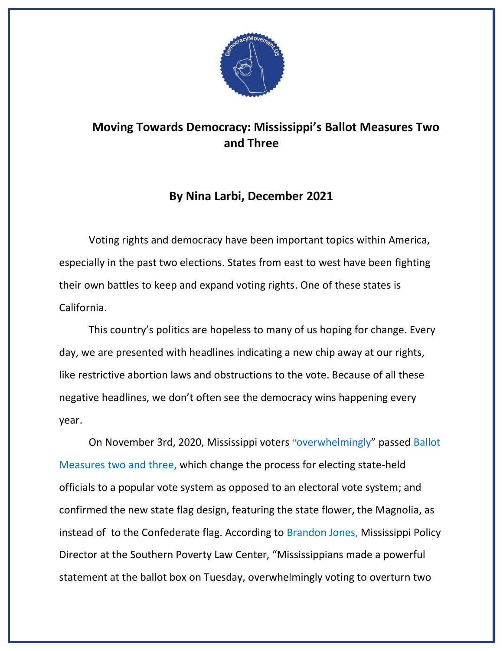

## **Moving Towards Democracy: Mississippi's Ballot Measures Two and Three**

## **By Nina Larbi, December 2021**

Voting rights and democracy have been important topics within America, especially in the past two elections. States from east to west have been fighting their own battles to keep and expand voting rights. One of these states is California.

This country's politics are hopeless to many of us hoping for change. Every day, we are presented with headlines indicating a new chip away at our rights, like restrictive abortion laws and obstructions to the vote. Because of all these negative headlines, we don't often see the democracy wins happening every year.

On November 3rd, 2020, Mississippi voters "[overwhelmingly](https://www.splcenter.org/presscenter/mississippi-voters-overturn-two-jim-crow-era-decisions-ballot-box)" passed [Ballot](https://ballotpedia.org/Mississippi_2020_ballot_measures)  [Measures two and three,](https://ballotpedia.org/Mississippi_2020_ballot_measures) which change the process for electing state-held officials to a popular vote system as opposed to an electoral vote system; and confirmed the new state flag design, featuring the state flower, the Magnolia, as instead of to the Confederate flag. According to [Brandon Jones,](https://www.splcenter.org/presscenter/mississippi-voters-overturn-two-jim-crow-era-decisions-ballot-box) Mississippi Policy Director at the Southern Poverty Law Center, "Mississippians made a powerful statement at the ballot box on Tuesday, overwhelmingly voting to overturn two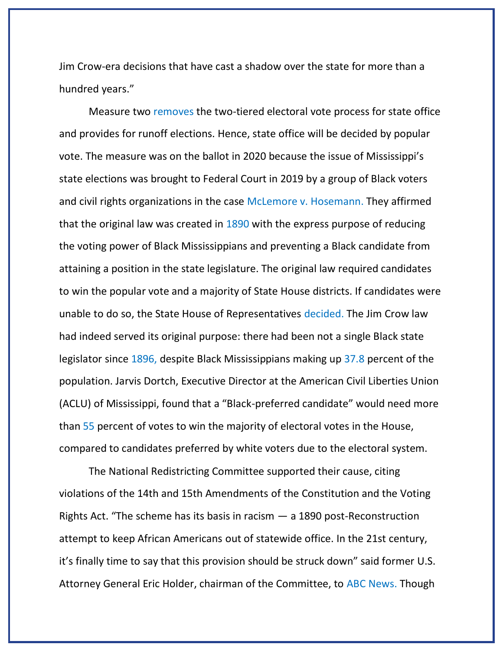Jim Crow-era decisions that have cast a shadow over the state for more than a hundred years."

Measure two [removes](https://ballotpedia.org/Mississippi_2020_ballot_measures) the two-tiered electoral vote process for state office and provides for runoff elections. Hence, state office will be decided by popular vote. The measure was on the ballot in 2020 because the issue of Mississippi's state elections was brought to Federal Court in 2019 by a group of Black voters and civil rights organizations in the case [McLemore v. Hosemann.](https://casetext.com/case/mclemore-v-hosemann) They affirmed that the original law was created in [1890](https://www.clarionledger.com/story/opinion/2020/10/20/mississippi-elections-support-ballot-measure-2-commentary/3671752001/) with the express purpose of reducing the voting power of Black Mississippians and preventing a Black candidate from attaining a position in the state legislature. The original law required candidates to win the popular vote and a majority of State House districts. If candidates were unable to do so, the State House of Representatives [decided.](https://www.npr.org/2019/09/24/763510668/black-voters-sue-over-mississippis-jim-crow-era-election-law) The Jim Crow law had indeed served its original purpose: there had been not a single Black state legislator since [1896,](https://core.ac.uk/download/pdf/188056387.pdf) despite Black Mississippians making up [37.8](https://www.census.gov/quickfacts/MS) percent of the population. Jarvis Dortch, Executive Director at the American Civil Liberties Union (ACLU) of Mississippi, found that a "Black-preferred candidate" would need more than [55](https://abcnews.go.com/Politics/mississippi-vote-jim-crow-era-law-designed-secure/story?id=72862667) percent of votes to win the majority of electoral votes in the House, compared to candidates preferred by white voters due to the electoral system.

The National Redistricting Committee supported their cause, citing violations of the 14th and 15th Amendments of the Constitution and the Voting Rights Act. "The scheme has its basis in racism  $-$  a 1890 post-Reconstruction attempt to keep African Americans out of statewide office. In the 21st century, it's finally time to say that this provision should be struck down" said former U.S. Attorney General Eric Holder, chairman of the Committee, to [ABC News.](https://abcnews.go.com/Politics/wireStory/lawsuit-calls-mississippis-choosing-governors-racist-63377648) Though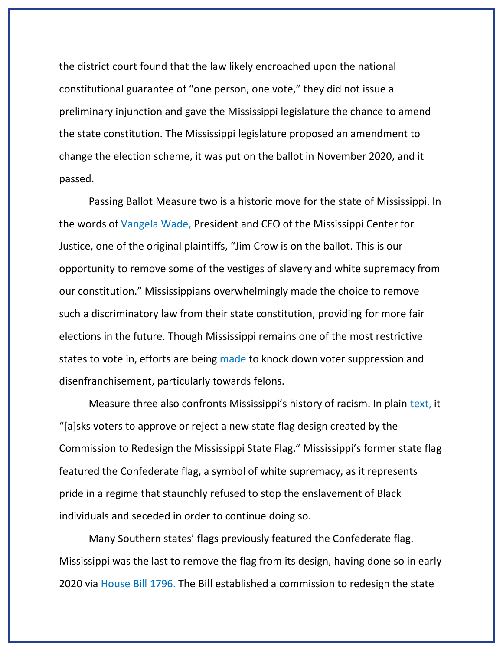the district court found that the law likely encroached upon the national constitutional guarantee of "one person, one vote," they did not issue a preliminary injunction and gave the Mississippi legislature the chance to amend the state constitution. The Mississippi legislature proposed an amendment to change the election scheme, it was put on the ballot in November 2020, and it passed.

Passing Ballot Measure two is a historic move for the state of Mississippi. In the words of [Vangela Wade,](http://electls.blogs.wm.edu/2021/01/06/historic-change-horizon-mississippi-part-ii/) President and CEO of the Mississippi Center for Justice, one of the original plaintiffs, "Jim Crow is on the ballot. This is our opportunity to remove some of the vestiges of slavery and white supremacy from our constitution." Mississippians overwhelmingly made the choice to remove such a discriminatory law from their state constitution, providing for more fair elections in the future. Though Mississippi remains one of the most restrictive states to vote in, efforts are being [made](https://mississippitoday.org/2021/07/25/mississippi-does-not-have-to-change-law-to-make-voting-hard-it-already-is/) to knock down voter suppression and disenfranchisement, particularly towards felons.

Measure three also confronts Mississippi's history of racism. In plain [text,](https://ballotpedia.org/Mississippi_2020_ballot_measures) it "[a]sks voters to approve or reject a new state flag design created by the Commission to Redesign the Mississippi State Flag." Mississippi's former state flag featured the Confederate flag, a symbol of white supremacy, as it represents pride in a regime that staunchly refused to stop the enslavement of Black individuals and seceded in order to continue doing so.

Many Southern states' flags previously featured the Confederate flag. Mississippi was the last to remove the flag from its design, having done so in early 2020 via [House Bill 1796.](http://billstatus.ls.state.ms.us/2020/pdf/history/HB/HB1796.xml) The Bill established a commission to redesign the state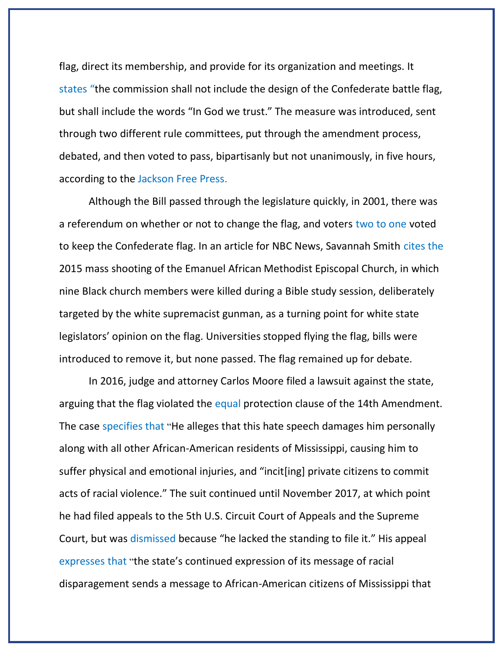flag, direct its membership, and provide for its organization and meetings. It [states](http://billstatus.ls.state.ms.us/2020/pdf/history/HB/HB1796.xml) "the commission shall not include the design of the Confederate battle flag, but shall include the words "In God we trust." The measure was introduced, sent through two different rule committees, put through the amendment process, debated, and then voted to pass, bipartisanly but not unanimously, in five hours, according to the [Jackson Free Press.](https://www.jacksonfreepress.com/news/2020/jun/28/mississippi-house-passes-hb-1796-replace-mississip/)

Although the Bill passed through the legislature quickly, in 2001, there was a referendum on whether or not to change the flag, and voters [two to one](https://www.nbcnews.com/news/us-news/why-mississippi-voted-change-its-flag-after-decades-debate-n1232607) voted to keep the Confederate flag. In an article for NBC News, Savannah Smith [cites](https://www.nbcnews.com/news/us-news/why-mississippi-voted-change-its-flag-after-decades-debate-n1232607) the 2015 mass shooting of the Emanuel African Methodist Episcopal Church, in which nine Black church members were killed during a Bible study session, deliberately targeted by the white supremacist gunman, as a turning point for white state legislators' opinion on the flag. Universities stopped flying the flag, bills were introduced to remove it, but none passed. The flag remained up for debate.

In 2016, judge and attorney Carlos Moore filed a lawsuit against the state, arguing that the flag violated the equal protection clause of the 14th Amendment. The case [specifies](https://casetext.com/case/moore-v-bryant-8) that "He alleges that this hate speech damages him personally along with all other African-American residents of Mississippi, causing him to suffer physical and emotional injuries, and "incit[ing] private citizens to commit acts of racial violence." The suit continued until November 2017, at which point he had filed appeals to the 5th U.S. Circuit Court of Appeals and the Supreme Court, but was [dismissed](https://www.nbcnews.com/news/us-news/why-mississippi-voted-change-its-flag-after-decades-debate-n1232607) because "he lacked the standing to file it." His appeal [expresses](https://s3.documentcloud.org/documents/3989936/Moore-v-Bryant-Petition-for-Certiorari-6-28-17.pdf) that "the state's continued expression of its message of racial disparagement sends a message to African-American citizens of Mississippi that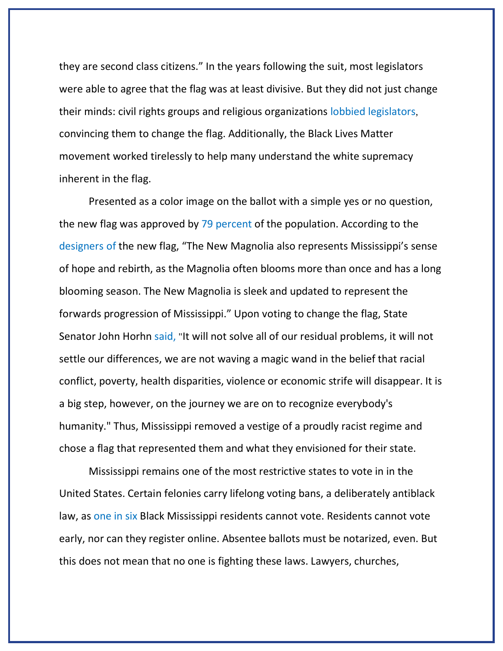they are second class citizens." In the years following the suit, most legislators were able to agree that the flag was at least divisive. But they did not just change their minds: civil rights groups and religious organizations [lobbied](https://apnews.com/article/mississippi-bills-tate-reeves-afbe916946e4b38cb29469fe0ec7cdc4) legislators, convincing them to change the flag. Additionally, the Black Lives Matter movement worked tirelessly to help many understand the white supremacy inherent in the flag.

Presented as a color image on the ballot with a simple yes or no question, the new flag was approved by [79](http://mississippi_ballot_measure_2/) percent of the population. According to the [designers](https://www.mdah.ms.gov/flagpoll-top2) of the new flag, "The New Magnolia also represents Mississippi's sense of hope and rebirth, as the Magnolia often blooms more than once and has a long blooming season. The New Magnolia is sleek and updated to represent the forwards progression of Mississippi." Upon voting to change the flag, State Senator John Horhn [said,](https://www.jacksonfreepress.com/news/2020/jun/28/mississippi-house-passes-hb-1796-replace-mississip/) "It will not solve all of our residual problems, it will not settle our differences, we are not waving a magic wand in the belief that racial conflict, poverty, health disparities, violence or economic strife will disappear. It is a big step, however, on the journey we are on to recognize everybody's humanity." Thus, Mississippi removed a vestige of a proudly racist regime and chose a flag that represented them and what they envisioned for their state.

Mississippi remains one of the most restrictive states to vote in in the United States. Certain felonies carry lifelong voting bans, a deliberately antiblack law, as [one in six](https://www.splcenter.org/our-issues/voting-rights/voting-rights-ms) Black Mississippi residents cannot vote. Residents cannot vote early, nor can they register online. Absentee ballots must be notarized, even. But this does not mean that no one is fighting these laws. Lawyers, churches,